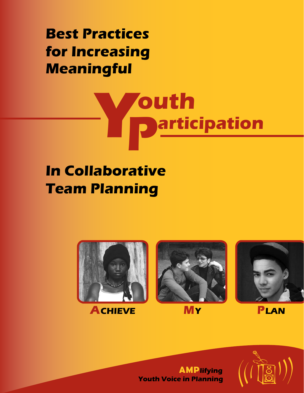**Best Practices for Increasing Meaningful**

# **Youth Darticipation**

## **In Collaborative Team Planning**



**ACHIEVE MY PLAN**



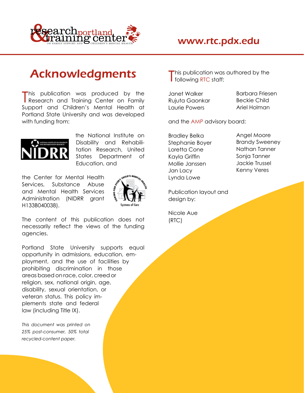

### **Acknowledgments**

This publication was produced by the Uanet-Walker Barbara-Fries<br>Research and Training Center on Family Rujuta Gaonkar Beckie Child **This publication was produced by the Search Janet Walker Constructs Barbara Friesen** Support and Children's Mental Health at Laurie Powers **Ariel Holman** Portland State University and was developed with funding from: and the AMP advisory board:



the National Institute on Bradley Belka Angel Moore Disability and Rehabili- Stephanie Boyer Brandy Sweeney tation Research, United Loretta Cone Nathan Tanner States Department of Kayla Griffin Sonja Tanner Education, and The Mollie Janssen Mollie Janssen Jackie Trussel

the Center for Mental Health Services, Substance Abuse and Mental Health Services  $\frac{2}{3}$  Publication layout and Administration (NIDRR grant  $\sqrt[3]{\mathbf{H}}$  design by: H133B040038).



The content of this publication does not (RTC) necessarily reflect the views of the funding agencies.

Portland State University supports equal opportunity in admissions, education, employment, and the use of facilities by prohibiting discrimination in those areas based on race, color, creed or<br>religion, sex, national origin, age, disability, sexual orientation, or veteran status. This policy implements state and federal During the Meeting: law (including Title IX).<br>Iaw (including Title IX).

*This document was printed on 25% post-consumer, 50% total* During the Meeting: *recycled-content paper.* Ensure the Youth is Part of the Team ............... <sup>6</sup>

his publication was authored by the following RTC staff:

Jan Lacy Kenny Veres Lynda Lowe

Nicole Aue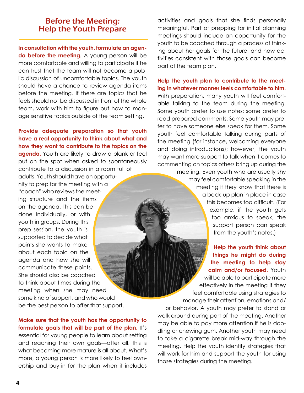Provide adequate preparation so that youth fert to have someone else speak for them. Some thave a real opportunity to think about what and the meeting (for instance, welcoming everyone the where likely to draw a blank or e points she wants to make<br>about each topic on the details and how she will communicate these points.<br>Communicate these points. She should also be coached<br>
to think about times during the<br>
meeting when she may need<br>
some kind of support, and who would<br>
be the best person to offer that support.<br>
or behavior. A youth may prefer to stand or

**Before the Meeting:** activities and goals that she finds personally<br>**Help the Youth Prepare** and meaningful. Part of prepping for initial planning meaning ful. Part of prepping for initial planning meetings should include an opportunity for the In consultation with the youth, formulate an agen-<br>
da before the meeting. A young person will be<br>
more comfortable and willing to participate if he<br>
can trust that the team will not become a pub-<br>
examplan.

lic discussion of uncomfortable topics. The youth<br>should have a chance to review agenda items<br>before the meeting. If there are topics that he<br>feels should not be discussed in front of the whole<br>team, work with him to figur

**Make sure that the youth has the opportunity to**<br> **Make sure that the youth has the opportunity to**<br> **Solution** to the plan. It's<br>
essential for young people to learn about setting<br>
and reaching their own goals—after all,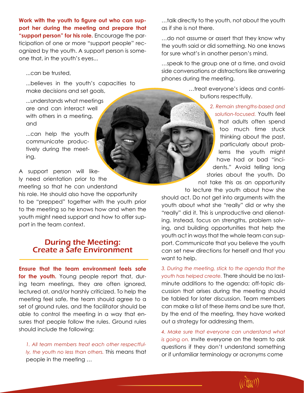**Work with the youth to figure out who can sup-<br>**  $\ldots$  **talk directly to the youth, not about the youth. port her during the meeting and prepare that** as if she is not there. "support person" for his role. Encourage the par-<br>ticipation of one or more "support people" rec-<br>ognized by the youth. A support person is some-<br>one that, in the youth's eyes...<br>...speak to the group one at a time, and av

phones in the youth's capacities to

but inderstands what meetings are and can interact well. We have a set of the set of the set of the set of the set of the set of the set of the set of the set of the set of the set of the set of the set of the set of the s with others in a meeting,

A support person will like<br>In the stories about the youth. Do<br>the meeting so that he can understand<br>his role. He should also have the opportunity<br>to lecture the youth about how she<br>to be "prepped" together with the youth p

### During the Meeting: Create a Safe Environment

**Ensure that the team environment feels safe** *3. During the meeting, stick to the agenda that the* **for the youth.** Young people report that, dur-<br>youth has helped create. There should be no lasting team meetings, they are often ignored, minute additions to the agenda; off-topic dislectured at, and/or harshly criticized. To help the cussion that arises during the meeting should meeting feel safe, the team should agree to a be tabled for later discussion. Team members set of ground rules, and the facilitator should be can make a list of these items and be sure that, able to control the meeting in a way that en- by the end of the meeting, they have worked sures that people follow the rules. Ground rules out a strategy for addressing them. should include the following: *4. Make sure that everyone can understand what* 

*ly, the youth no less than others.* This means that or if unfamiliar terminology or acronyms come people in the meeting …

side conversations or distractions like answering ...can be trusted,

make decisions and set goals, ……treat everyone's ideas and contri-<br>butions respectfully.

are and can interact well **2. Remain strengths-based and particular tensor in a month of the strengths-based and** *solution-focused.* **Youth feel** and and and that adults often spend and the spend and that adults often spend too much time stuck tively during the youth the meet-<br>tively during the meet- tively during the meet- lems the youth might have had or bad "inci-<br>ing.

> youth act in ways that the whole team can support. Communicate that you believe the youth can set new directions for herself and that you want to help.

*is going on.* Invite everyone on the team to ask *1. All team members treat each other respectful-* questions if they don't understand something ly, the youth no less than others. This means that

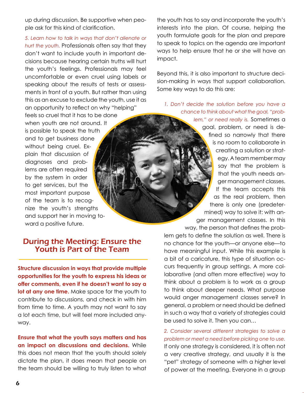don't want to include youth in important de-<br>elsions because begring eartein truths will hurt impact. cisions because hearing certain truths will hurt the youth's feelings. Professionals may feel<br>uncomfortable or even cruel using labels or<br>speaking about the results of tests or assess-<br>ments in front of a youth. But rather than using some key ways to do this are: this as an excuse to exclude the youth, use it as<br>an opportunity to reflect on why "helping" below the colution before you have a<br>feels so cruel that it has to be done to think about what the goal, "prob-<br>lem," or need rea

**opportunities for the youth to express his ideas or any proportunities for the youth to express his ideas or a laborative (and often more effective) way to offer comments even if he doesn't want to say a laboration of thi offer comments, even if he doesn't want to say a** think about a problem is to work as a group<br>**Int at any one time** Make space for the youth to the to think about deeper needs. What purpose **lot at any one time.** Make space for the youth to to think about deeper needs. What purpose contribute to discussions, and check in with him would anger management classes serve? In contribute to discussions, and check in with him would anger management classes serves in<br>contribute to discussions, and check in with him general, a problem or need should be defined from time to time. A youth may not want to say general, a problem or need should be defined<br>a lot each time but will feel more included any. In such a way that a variety of strategies could a lot each time, but will feel more included anyway. **be used to solve it. Then you can...** 

**Ensure that what the youth says matters and has** *problem or meet a need before picking one to use.* **an impact on discussions and decisions.** While If only one strategy is considered, it is often not this does not mean that the youth should solely  $\alpha$  very creative strategy, and usually it is the dictate the plan, it does mean that people on "pet" strategy of someone with a higher level

up during discussion. Be supportive when peo- the youth has to say and incorporate the youth's ple ask for this kind of clarification. interests into the plan. Of course, helping the youth formulate goals for the plan and prepare *5. Learn how to talk in ways that don't alienate or*  to speak to topics on the agenda are important<br>den't want to include youth in important de ways to help ensure that he or she will have an

When youth are not around. It is possible to speak the truth<br>and to get business done<br>without being cruel. Ex-<br>plain that discussion of<br>plain that discussion of<br>business and prob-<br>business and prob-<br>business and prob-<br>busi

lem gets to define the solution as well. There is **During the Meeting: Ensure the** no chance for the youth—or anyone else—to<br>**Youth is Part of the Team** have meaningful input. While this example is a bit of a caricature, this type of situation oc-**Structure discussion in ways that provide multiple** curs frequently in group settings. A more col-<br> **CURS** frequently in group settings. A more col-<br> **CURS** frequently in group settings. A more col-<br> **CURS** frequently in

*2. Consider several different strategies to solve a*  the team should be willing to truly listen to what of power at the meeting. Everyone in a group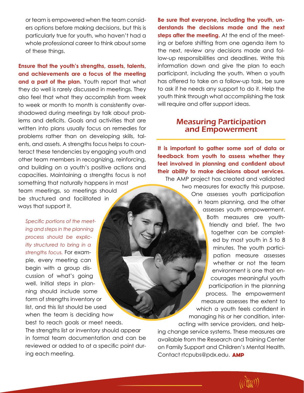or team is empowered when the team consid- **Be sure that everyone, including the youth, un-**

**and achievements are a focus of the meeting** participant, including the youth. When a youth **and a part of the plan.** Youth report that what has offered to take on a follow-up task, be sure they do well is rarely discussed in meetings. They to ask if he needs any support to do it. Help the also feel that what they accomplish from week youth think through what accomplishing the task to week or month to month is consistently over- will require and offer support ideas. shadowed during meetings by talk about problems and deficits. Goals and activities that are **Measuring Participation**<br>Witten into plans usually focus on remedies for **and Empowerment** written into plans usually focus on remedies for problems rather than on developing skills, talents, and assets. A strengths focus helps to counteract these tendencies by engaging youth and<br>teract these tendencies by engaging youth and<br>other team members in recognizing, reinforcing,<br>and building on a youth's positiv

begin with a group dis-<br>cussion of what's going cussion of what's going courages meaningful youth courages meaningful youth vell. Initial steps in planwell. Initial steps in plan-<br>ning should include some participation in the planning ning should include some process. The empowerment process in the empowerment of the system of strengths inventory or form of strengths inventory or a measure assesses the extent to measure assesses the extent to include the unit of the strength of the strength of the strength of the strength of the strength of the strength of the strengt list, and this list should be used which a youth feels confident in which a youth feels confident in when the team is deciding how when the team is deciding how managing his or her condition, inter-<br>best to reach goals or meet needs. best to reach goals or meet needs.<br>The strengths list or inventory should appear and change service systems. These measures are The strengths list or inventory should appear ing change service systems. These measures are<br>in formal team documentation and can be available from the Research and Training Center ing each meeting. Contact rtcpubs@pdx.edu. **AMP**

ers options before making decisions, but this is **derstands the decisions made and the next** particularly true for youth, who haven't had a **steps after the meeting.** At the end of the meetwhole professional career to think about some ing or before shifting from one agenda item to of these things. The next, review any decisions made and follow-up responsibilities and deadlines. Write this **Ensure that the youth's strengths, assets, talents,** information down and give the plan to each

Specific portions of the meeting and steps in the planning<br>process should be explicitly structured to bring in a<br>strengths focus. For example, every meeting can<br>ple, every meeting can

available from the Research and Training Center reviewed or added to at a specific point dur-<br>on Family Support and Children's Mental Health.

**AMPLE**  $\left(\left(\begin{smallmatrix} \sqrt{2} & 0 \\ 0 & 0 \end{smallmatrix}\right) \right)$